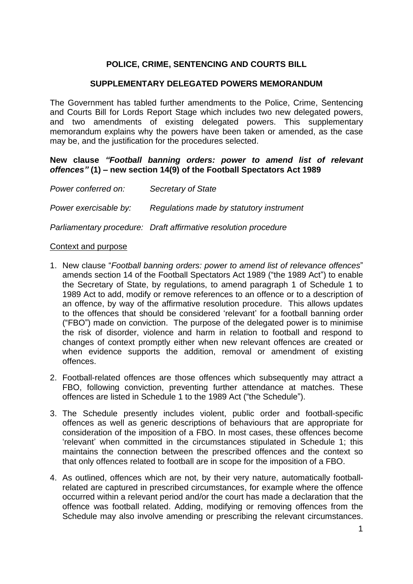# **POLICE, CRIME, SENTENCING AND COURTS BILL**

# **SUPPLEMENTARY DELEGATED POWERS MEMORANDUM**

The Government has tabled further amendments to the Police, Crime, Sentencing and Courts Bill for Lords Report Stage which includes two new delegated powers, and two amendments of existing delegated powers. This supplementary memorandum explains why the powers have been taken or amended, as the case may be, and the justification for the procedures selected.

### **New clause** *"Football banning orders: power to amend list of relevant offences"* **(1)** *–* **new section 14(9) of the Football Spectators Act 1989**

| Power conferred on:   | Secretary of State                                              |
|-----------------------|-----------------------------------------------------------------|
| Power exercisable by: | Regulations made by statutory instrument                        |
|                       | Parliamentary procedure: Draft affirmative resolution procedure |

## Context and purpose

- 1. New clause "*Football banning orders: power to amend list of relevance offences*" amends section 14 of the Football Spectators Act 1989 ("the 1989 Act") to enable the Secretary of State, by regulations, to amend paragraph 1 of Schedule 1 to 1989 Act to add, modify or remove references to an offence or to a description of an offence, by way of the affirmative resolution procedure. This allows updates to the offences that should be considered 'relevant' for a football banning order ("FBO") made on conviction. The purpose of the delegated power is to minimise the risk of disorder, violence and harm in relation to football and respond to changes of context promptly either when new relevant offences are created or when evidence supports the addition, removal or amendment of existing offences.
- 2. Football-related offences are those offences which subsequently may attract a FBO, following conviction, preventing further attendance at matches. These offences are listed in Schedule 1 to the 1989 Act ("the Schedule").
- 3. The Schedule presently includes violent, public order and football-specific offences as well as generic descriptions of behaviours that are appropriate for consideration of the imposition of a FBO. In most cases, these offences become 'relevant' when committed in the circumstances stipulated in Schedule 1; this maintains the connection between the prescribed offences and the context so that only offences related to football are in scope for the imposition of a FBO.
- 4. As outlined, offences which are not, by their very nature, automatically footballrelated are captured in prescribed circumstances, for example where the offence occurred within a relevant period and/or the court has made a declaration that the offence was football related. Adding, modifying or removing offences from the Schedule may also involve amending or prescribing the relevant circumstances.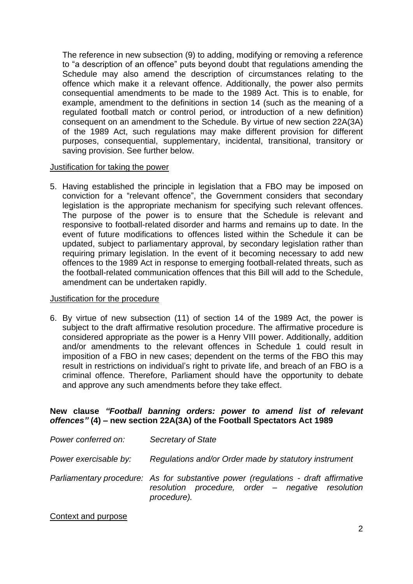The reference in new subsection (9) to adding, modifying or removing a reference to "a description of an offence" puts beyond doubt that regulations amending the Schedule may also amend the description of circumstances relating to the offence which make it a relevant offence. Additionally, the power also permits consequential amendments to be made to the 1989 Act. This is to enable, for example, amendment to the definitions in section 14 (such as the meaning of a regulated football match or control period, or introduction of a new definition) consequent on an amendment to the Schedule. By virtue of new section 22A(3A) of the 1989 Act, such regulations may make different provision for different purposes, consequential, supplementary, incidental, transitional, transitory or saving provision. See further below.

# Justification for taking the power

5. Having established the principle in legislation that a FBO may be imposed on conviction for a "relevant offence", the Government considers that secondary legislation is the appropriate mechanism for specifying such relevant offences. The purpose of the power is to ensure that the Schedule is relevant and responsive to football-related disorder and harms and remains up to date. In the event of future modifications to offences listed within the Schedule it can be updated, subject to parliamentary approval, by secondary legislation rather than requiring primary legislation. In the event of it becoming necessary to add new offences to the 1989 Act in response to emerging football-related threats, such as the football-related communication offences that this Bill will add to the Schedule, amendment can be undertaken rapidly.

# Justification for the procedure

6. By virtue of new subsection (11) of section 14 of the 1989 Act, the power is subject to the draft affirmative resolution procedure. The affirmative procedure is considered appropriate as the power is a Henry VIII power. Additionally, addition and/or amendments to the relevant offences in Schedule 1 could result in imposition of a FBO in new cases; dependent on the terms of the FBO this may result in restrictions on individual's right to private life, and breach of an FBO is a criminal offence. Therefore, Parliament should have the opportunity to debate and approve any such amendments before they take effect.

# **New clause** *"Football banning orders: power to amend list of relevant offences"* **(4)** *–* **new section 22A(3A) of the Football Spectators Act 1989**

| Power conferred on:   | Secretary of State                                                                                                                                     |
|-----------------------|--------------------------------------------------------------------------------------------------------------------------------------------------------|
| Power exercisable by: | Regulations and/or Order made by statutory instrument                                                                                                  |
|                       | Parliamentary procedure: As for substantive power (regulations - draft affirmative<br>resolution procedure, order - negative resolution<br>procedure). |

# Context and purpose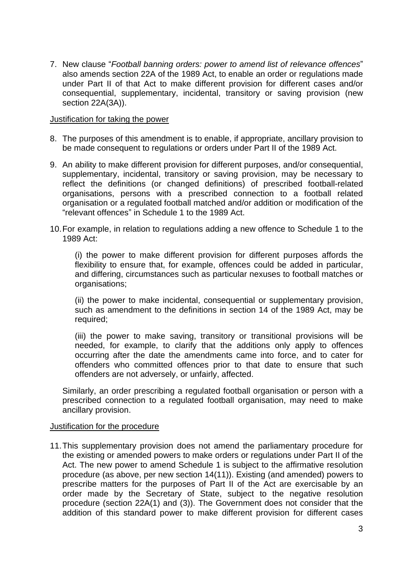7. New clause "*Football banning orders: power to amend list of relevance offences*" also amends section 22A of the 1989 Act, to enable an order or regulations made under Part II of that Act to make different provision for different cases and/or consequential, supplementary, incidental, transitory or saving provision (new section 22A(3A)).

## Justification for taking the power

- 8. The purposes of this amendment is to enable, if appropriate, ancillary provision to be made consequent to regulations or orders under Part II of the 1989 Act.
- 9. An ability to make different provision for different purposes, and/or consequential, supplementary, incidental, transitory or saving provision, may be necessary to reflect the definitions (or changed definitions) of prescribed football-related organisations, persons with a prescribed connection to a football related organisation or a regulated football matched and/or addition or modification of the "relevant offences" in Schedule 1 to the 1989 Act.
- 10.For example, in relation to regulations adding a new offence to Schedule 1 to the 1989 Act:

(i) the power to make different provision for different purposes affords the flexibility to ensure that, for example, offences could be added in particular, and differing, circumstances such as particular nexuses to football matches or organisations;

(ii) the power to make incidental, consequential or supplementary provision, such as amendment to the definitions in section 14 of the 1989 Act, may be required;

(iii) the power to make saving, transitory or transitional provisions will be needed, for example, to clarify that the additions only apply to offences occurring after the date the amendments came into force, and to cater for offenders who committed offences prior to that date to ensure that such offenders are not adversely, or unfairly, affected.

Similarly, an order prescribing a regulated football organisation or person with a prescribed connection to a regulated football organisation, may need to make ancillary provision.

#### Justification for the procedure

11.This supplementary provision does not amend the parliamentary procedure for the existing or amended powers to make orders or regulations under Part II of the Act. The new power to amend Schedule 1 is subject to the affirmative resolution procedure (as above, per new section 14(11)). Existing (and amended) powers to prescribe matters for the purposes of Part II of the Act are exercisable by an order made by the Secretary of State, subject to the negative resolution procedure (section 22A(1) and (3)). The Government does not consider that the addition of this standard power to make different provision for different cases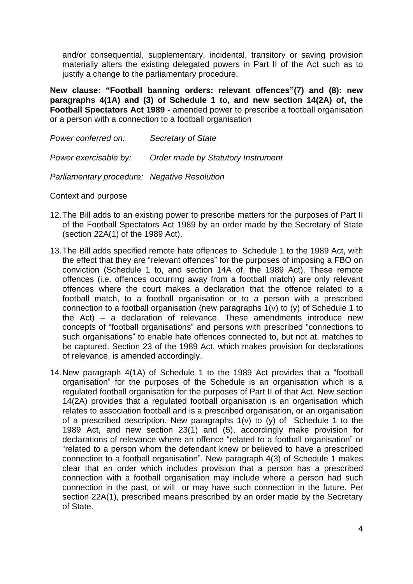and/or consequential, supplementary, incidental, transitory or saving provision materially alters the existing delegated powers in Part II of the Act such as to justify a change to the parliamentary procedure.

**New clause: "Football banning orders: relevant offences"(7) and (8): new paragraphs 4(1A) and (3) of Schedule 1 to, and new section 14(2A) of, the Football Spectators Act 1989 -** amended power to prescribe a football organisation or a person with a connection to a football organisation

| Power conferred on:                          | Secretary of State                 |
|----------------------------------------------|------------------------------------|
| Power exercisable by:                        | Order made by Statutory Instrument |
| Parliamentary procedure: Negative Resolution |                                    |

Context and purpose

- 12.The Bill adds to an existing power to prescribe matters for the purposes of Part II of the Football Spectators Act 1989 by an order made by the Secretary of State (section 22A(1) of the 1989 Act).
- 13.The Bill adds specified remote hate offences to Schedule 1 to the 1989 Act, with the effect that they are "relevant offences" for the purposes of imposing a FBO on conviction (Schedule 1 to, and section 14A of, the 1989 Act). These remote offences (i.e. offences occurring away from a football match) are only relevant offences where the court makes a declaration that the offence related to a football match, to a football organisation or to a person with a prescribed connection to a football organisation (new paragraphs 1(v) to (y) of Schedule 1 to the Act) – a declaration of relevance. These amendments introduce new concepts of "football organisations" and persons with prescribed "connections to such organisations" to enable hate offences connected to, but not at, matches to be captured. Section 23 of the 1989 Act, which makes provision for declarations of relevance, is amended accordingly.
- 14.New paragraph 4(1A) of Schedule 1 to the 1989 Act provides that a "football organisation" for the purposes of the Schedule is an organisation which is a regulated football organisation for the purposes of Part II of that Act. New section 14(2A) provides that a regulated football organisation is an organisation which relates to association football and is a prescribed organisation, or an organisation of a prescribed description. New paragraphs 1(v) to (y) of Schedule 1 to the 1989 Act, and new section 23(1) and (5), accordingly make provision for declarations of relevance where an offence "related to a football organisation" or "related to a person whom the defendant knew or believed to have a prescribed connection to a football organisation". New paragraph 4(3) of Schedule 1 makes clear that an order which includes provision that a person has a prescribed connection with a football organisation may include where a person had such connection in the past, or will or may have such connection in the future. Per section 22A(1), prescribed means prescribed by an order made by the Secretary of State.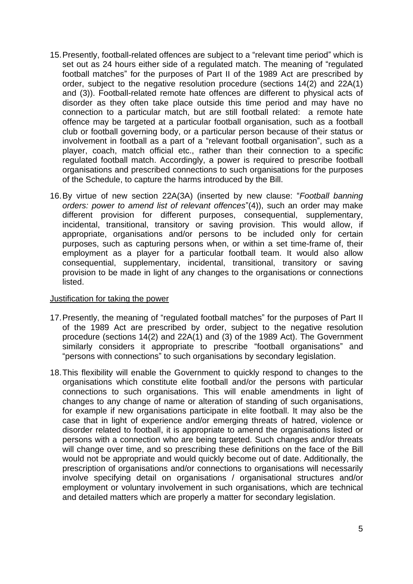- 15.Presently, football-related offences are subject to a "relevant time period" which is set out as 24 hours either side of a regulated match. The meaning of "regulated football matches" for the purposes of Part II of the 1989 Act are prescribed by order, subject to the negative resolution procedure (sections 14(2) and 22A(1) and (3)). Football-related remote hate offences are different to physical acts of disorder as they often take place outside this time period and may have no connection to a particular match, but are still football related: a remote hate offence may be targeted at a particular football organisation, such as a football club or football governing body, or a particular person because of their status or involvement in football as a part of a "relevant football organisation", such as a player, coach, match official etc., rather than their connection to a specific regulated football match. Accordingly, a power is required to prescribe football organisations and prescribed connections to such organisations for the purposes of the Schedule, to capture the harms introduced by the Bill.
- 16.By virtue of new section 22A(3A) (inserted by new clause: "*Football banning orders: power to amend list of relevant offences*"(4)), such an order may make different provision for different purposes, consequential, supplementary, incidental, transitional, transitory or saving provision. This would allow, if appropriate, organisations and/or persons to be included only for certain purposes, such as capturing persons when, or within a set time-frame of, their employment as a player for a particular football team. It would also allow consequential, supplementary, incidental, transitional, transitory or saving provision to be made in light of any changes to the organisations or connections listed.

# Justification for taking the power

- 17.Presently, the meaning of "regulated football matches" for the purposes of Part II of the 1989 Act are prescribed by order, subject to the negative resolution procedure (sections 14(2) and 22A(1) and (3) of the 1989 Act). The Government similarly considers it appropriate to prescribe "football organisations" and "persons with connections" to such organisations by secondary legislation.
- 18.This flexibility will enable the Government to quickly respond to changes to the organisations which constitute elite football and/or the persons with particular connections to such organisations. This will enable amendments in light of changes to any change of name or alteration of standing of such organisations, for example if new organisations participate in elite football. It may also be the case that in light of experience and/or emerging threats of hatred, violence or disorder related to football, it is appropriate to amend the organisations listed or persons with a connection who are being targeted. Such changes and/or threats will change over time, and so prescribing these definitions on the face of the Bill would not be appropriate and would quickly become out of date. Additionally, the prescription of organisations and/or connections to organisations will necessarily involve specifying detail on organisations / organisational structures and/or employment or voluntary involvement in such organisations, which are technical and detailed matters which are properly a matter for secondary legislation.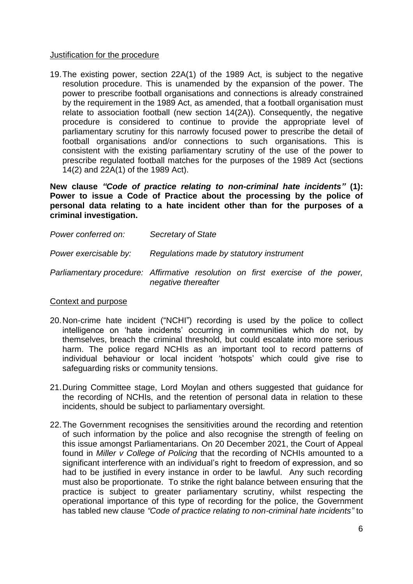## Justification for the procedure

19.The existing power, section 22A(1) of the 1989 Act, is subject to the negative resolution procedure. This is unamended by the expansion of the power. The power to prescribe football organisations and connections is already constrained by the requirement in the 1989 Act, as amended, that a football organisation must relate to association football (new section 14(2A)). Consequently, the negative procedure is considered to continue to provide the appropriate level of parliamentary scrutiny for this narrowly focused power to prescribe the detail of football organisations and/or connections to such organisations. This is consistent with the existing parliamentary scrutiny of the use of the power to prescribe regulated football matches for the purposes of the 1989 Act (sections 14(2) and 22A(1) of the 1989 Act).

**New clause** *"Code of practice relating to non-criminal hate incidents"* **(1): Power to issue a Code of Practice about the processing by the police of personal data relating to a hate incident other than for the purposes of a criminal investigation.**

| Power conferred on:   | Secretary of State                                                                          |
|-----------------------|---------------------------------------------------------------------------------------------|
| Power exercisable by: | Regulations made by statutory instrument                                                    |
|                       | Parliamentary procedure: Affirmative resolution on first exercise of<br>negative thereafter |

#### Context and purpose

- 20.Non-crime hate incident ("NCHI") recording is used by the police to collect intelligence on 'hate incidents' occurring in communities which do not, by themselves, breach the criminal threshold, but could escalate into more serious harm. The police regard NCHIs as an important tool to record patterns of individual behaviour or local incident 'hotspots' which could give rise to safeguarding risks or community tensions.
- 21.During Committee stage, Lord Moylan and others suggested that guidance for the recording of NCHIs, and the retention of personal data in relation to these incidents, should be subject to parliamentary oversight.
- 22.The Government recognises the sensitivities around the recording and retention of such information by the police and also recognise the strength of feeling on this issue amongst Parliamentarians. On 20 December 2021, the Court of Appeal found in *Miller v College of Policing* that the recording of NCHIs amounted to a significant interference with an individual's right to freedom of expression, and so had to be justified in every instance in order to be lawful. Any such recording must also be proportionate. To strike the right balance between ensuring that the practice is subject to greater parliamentary scrutiny, whilst respecting the operational importance of this type of recording for the police, the Government has tabled new clause *"Code of practice relating to non-criminal hate incidents"* to

*the power,*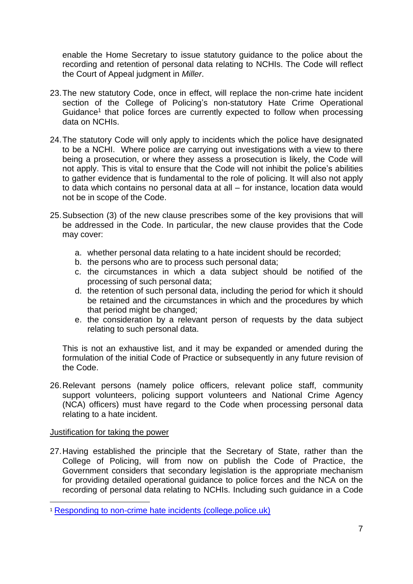enable the Home Secretary to issue statutory guidance to the police about the recording and retention of personal data relating to NCHIs. The Code will reflect the Court of Appeal judgment in *Miller*.

- 23.The new statutory Code, once in effect, will replace the non-crime hate incident section of the College of Policing's non-statutory Hate Crime Operational Guidance<sup>1</sup> that police forces are currently expected to follow when processing data on NCHIs.
- 24.The statutory Code will only apply to incidents which the police have designated to be a NCHI. Where police are carrying out investigations with a view to there being a prosecution, or where they assess a prosecution is likely, the Code will not apply. This is vital to ensure that the Code will not inhibit the police's abilities to gather evidence that is fundamental to the role of policing. It will also not apply to data which contains no personal data at all – for instance, location data would not be in scope of the Code.
- 25.Subsection (3) of the new clause prescribes some of the key provisions that will be addressed in the Code. In particular, the new clause provides that the Code may cover:
	- a. whether personal data relating to a hate incident should be recorded;
	- b. the persons who are to process such personal data;
	- c. the circumstances in which a data subject should be notified of the processing of such personal data;
	- d. the retention of such personal data, including the period for which it should be retained and the circumstances in which and the procedures by which that period might be changed;
	- e. the consideration by a relevant person of requests by the data subject relating to such personal data.

This is not an exhaustive list, and it may be expanded or amended during the formulation of the initial Code of Practice or subsequently in any future revision of the Code.

26.Relevant persons (namely police officers, relevant police staff, community support volunteers, policing support volunteers and National Crime Agency (NCA) officers) must have regard to the Code when processing personal data relating to a hate incident.

# Justification for taking the power

27.Having established the principle that the Secretary of State, rather than the College of Policing, will from now on publish the Code of Practice, the Government considers that secondary legislation is the appropriate mechanism for providing detailed operational guidance to police forces and the NCA on the recording of personal data relating to NCHIs. Including such guidance in a Code

<sup>1</sup> [Responding to non-crime hate incidents \(college.police.uk\)](https://www.app.college.police.uk/app-content/major-investigation-and-public-protection/hate-crime/responding-to-non-crime-hate-incidents/)